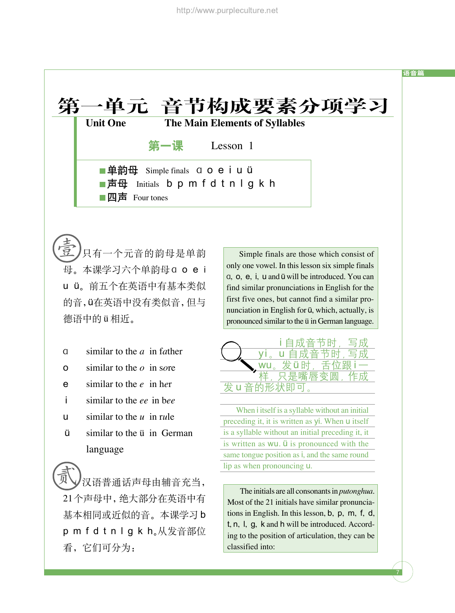

只有一个元音的韵母是单韵 壹 Simple finals are those which consist of 母。本课学习六个单韵母 a o e i u ü。前五个在英语中有基本类似 的音,v在英语中没有类似音,但与 德语中的 ü 相近。

- a similar to the *a* in f*a*ther
- o similar to the *o* in s*o*re
- e similar to the *e* in h*e*r
- i similar to the *ee* in b*ee*
- u similar to the *u* in r*u*le
- $\ddot{u}$  similar to the  $\ddot{u}$  in German language

汉语普通话声母由辅音充当, 21个声母中,绝大部分在英语中有 基本相同或近似的音。本课学习 b p m f d t n l g k h。从发音部位 看,它们可分为: 贰

only one vowel. In this lesson six simple finals  $a, o, e, i, u$  and  $u$  will be introduced. You can find similar pronunciations in English for the first five ones, but cannot find a similar pronunciation in English for  $\ddot{u}$ , which, actually, is pronounced similar to the ü in German language.



When i itself is a syllable without an initial preceding it, it is written as yi. When u itself is a syllable without an initial preceding it, it is written as wu. *Ü* is pronounced with the same tongue position as i, and the same round lip as when pronouncing u.

The initials are all consonants in *putonghua*. Most of the 21 initials have similar pronunciations in English. In this lesson, b, p, m, f, d, t, n, l, g, k and h will be introduced. According to the position of articulation, they can be classified into:

7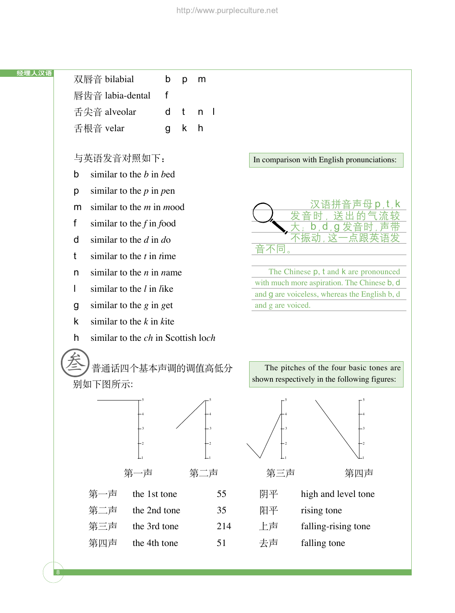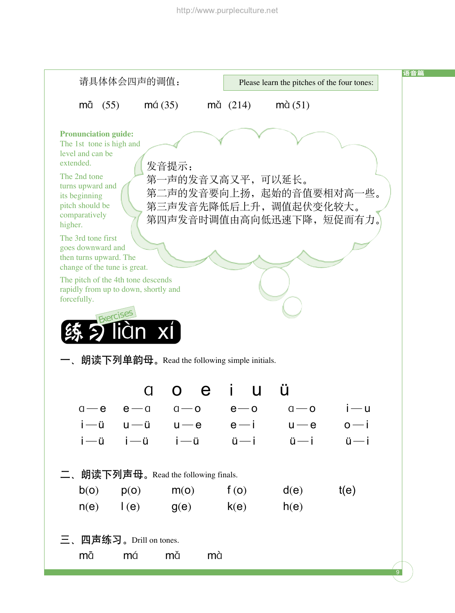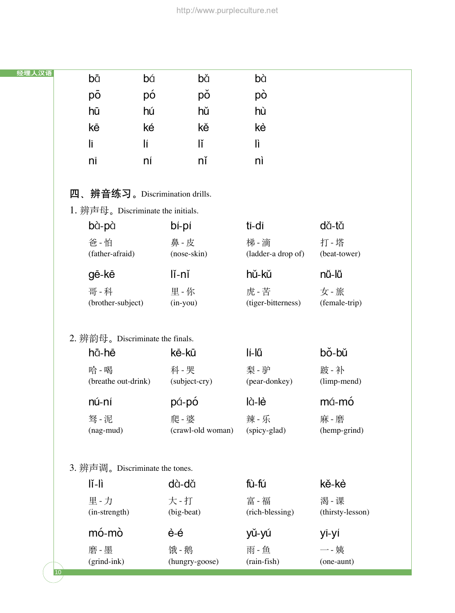| 经理人汉语 | bā                                | bá             | bă                | bà                 |                  |  |  |  |  |
|-------|-----------------------------------|----------------|-------------------|--------------------|------------------|--|--|--|--|
|       | pō                                | рó             | pŏ                | pò                 |                  |  |  |  |  |
|       | hū                                | hú             | hŭ                | hù                 |                  |  |  |  |  |
|       | kē                                | ké             | kě                | kè                 |                  |  |  |  |  |
|       | lī                                | lí             | lĭ                | lì                 |                  |  |  |  |  |
|       | nī                                | ní             | nĭ                | nì                 |                  |  |  |  |  |
|       |                                   |                |                   |                    |                  |  |  |  |  |
|       | 辨音练习。Discrimination drills.<br>四、 |                |                   |                    |                  |  |  |  |  |
|       | 1. 辨声母。Discriminate the initials. |                |                   |                    |                  |  |  |  |  |
|       | bà-pà                             | bí-pí          |                   | tī-dī              | dă-tă            |  |  |  |  |
|       | 爸 - 怕                             | 鼻 - 皮          |                   | 梯 - 滴              | 打 - 塔            |  |  |  |  |
|       | (father-afraid)                   | (nose-skin)    |                   | (ladder-a drop of) | (beat-tower)     |  |  |  |  |
|       | gē-kē                             | lĭ-nĭ          |                   | hǔ-kǔ              | nŭ-lŭ            |  |  |  |  |
|       | 哥-科                               | 里-你            |                   | 虎-苦                | 女 - 旅            |  |  |  |  |
|       | (brother-subject)                 | $(in$ -you $)$ |                   | (tiger-bitterness) | (female-trip)    |  |  |  |  |
|       |                                   |                |                   |                    |                  |  |  |  |  |
|       | 2. 辨韵母。Discriminate the finals.   |                |                   |                    |                  |  |  |  |  |
|       | hā-hē                             | kē-kū          |                   | lí-lű              | bǒ-bǔ            |  |  |  |  |
|       | 哈 - 喝                             | 科 - 哭          |                   | 梨 - 驴              | 跛-补              |  |  |  |  |
|       | (breathe out-drink)               |                | (subject-cry)     | (pear-donkey)      | (limp-mend)      |  |  |  |  |
|       | nú-ní                             | pá-pó          |                   | là-lè              | má-mó            |  |  |  |  |
|       | 驽 - 泥                             | 爬-婆            |                   | 辣 - 乐              | 麻 - 磨            |  |  |  |  |
|       | (nag-mud)                         |                | (crawl-old woman) | (spicy-glad)       | (hemp-grind)     |  |  |  |  |
|       |                                   |                |                   |                    |                  |  |  |  |  |
|       | 3. 辨声调。Discriminate the tones.    |                |                   |                    |                  |  |  |  |  |
|       | lĭ-lì                             | dà-dă          |                   | fù-fú              | kě-kè            |  |  |  |  |
|       | 里-力                               | 大 - 打          |                   | 富 - 福              | 渴 - 课            |  |  |  |  |
|       | (in-strength)                     | (big-beat)     |                   | (rich-blessing)    | (thirsty-lesson) |  |  |  |  |

10

## mó-mò è-é yǔ-yú yī-yí

磨 - 墨 饿 - 鹅 雨 - 鱼 一 - 姨 (grind-ink) (hungry-goose) (rain-fish) (one-aunt)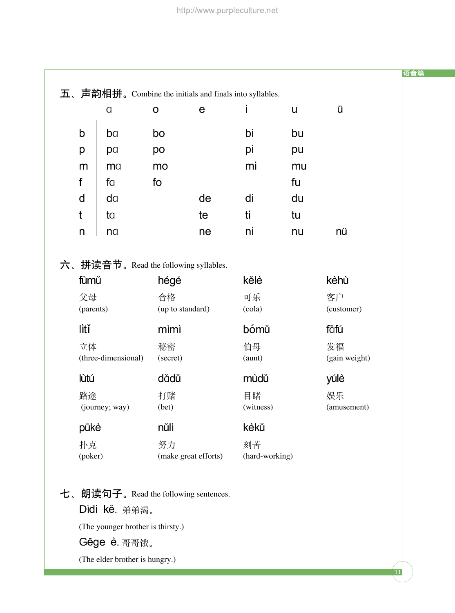|                         | $\alpha$            | $\mathbf O$                    | $\mathbf e$                          | i                    | U  | ü                                  |
|-------------------------|---------------------|--------------------------------|--------------------------------------|----------------------|----|------------------------------------|
| b                       | ba                  | bo                             |                                      | bi                   | bu |                                    |
| p                       | pa                  | po                             |                                      | pi                   | pu |                                    |
| m                       | ma                  | mo                             |                                      | mi                   | mu |                                    |
| f                       | fa                  | fo                             |                                      |                      | fu |                                    |
| d                       | da                  |                                | de                                   | di                   | du |                                    |
| t                       | ta                  |                                | te                                   | ti                   | tu |                                    |
| n                       | na                  |                                | ne                                   | ni                   | nu | nü                                 |
| fùmŭ<br>父母<br>(parents) |                     | hégé<br>合格<br>(up to standard) | 六、拼读音节。Read the following syllables. | kělè<br>可乐<br>(cola) |    | kèhù<br>客户<br>(customer)           |
| lìtǐ<br>立体              | (three-dimensional) | mìmì<br>秘密<br>(secret)         |                                      | bómŭ<br>伯母<br>(aunt) |    | fāfú<br>发福                         |
| lùtú                    |                     | dădŭ                           |                                      | mùdŭ                 |    | yúlè                               |
| 路途                      | (journey; way)      | 打赌<br>(bet)                    |                                      | 目睹<br>(witness)      |    | (gain weight)<br>娱乐<br>(amusement) |
| pūkè                    |                     | nŭlì                           |                                      | kèkŭ                 |    |                                    |

11

语音篇

(The younger brother is thirsty.)

Gēge è. 哥哥俄。

(The elder brother is hungry.)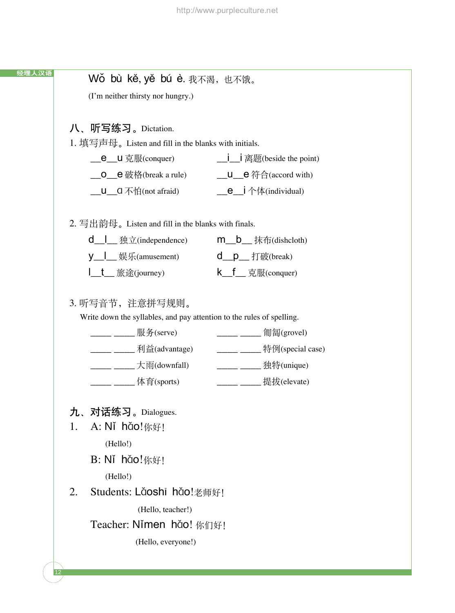